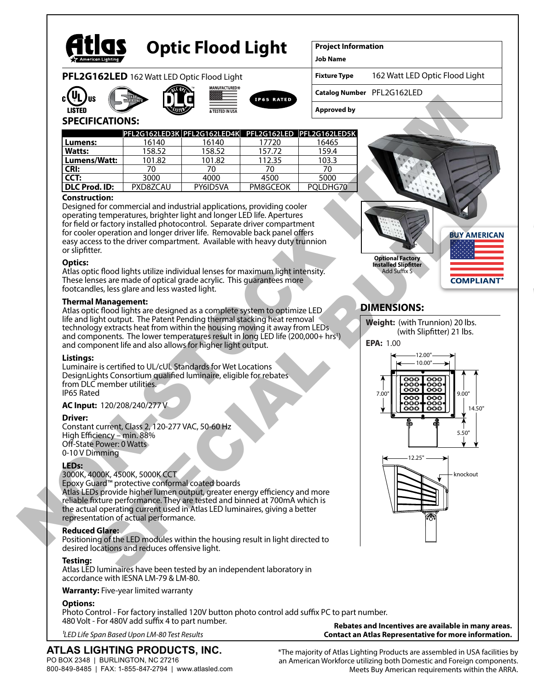

# **Optic Flood Light**

**Project Information**

**Job Name**

**PFL2G162LED** 162 Watt LED Optic Flood Light











162 Watt LED Optic Flood Light

**Catalog Number** PFL2G162LED

**Approved by**

# **SPECIFICATIONS:**

|               | PFL2G162LED3K PFL2G162LED4K PFL2G162LED PFL2G162LED5K |          |          |          |
|---------------|-------------------------------------------------------|----------|----------|----------|
| Lumens:       | 16140                                                 | 16140    | 17720    | 16465    |
| <b>Watts:</b> | 158.52                                                | 158.52   | 157.72   | 159.4    |
| Lumens/Watt:  | 101.82                                                | 101.82   | 112.35   | 103.3    |
| l CRI:        |                                                       | 70       |          | 70       |
| CCT:          | 3000                                                  | 4000     | 4500     | 5000     |
| DLC Prod. ID: | PXD8ZCAU                                              | PY6ID5VA | PM8GCEOK | POLDHG70 |

#### **Construction:**

Designed for commercial and industrial applications, providing cooler operating temperatures, brighter light and longer LED life. Apertures for field or factory installed photocontrol. Separate driver compartment for cooler operation and longer driver life. Removable back panel offers easy access to the driver compartment. Available with heavy duty trunnion or sliptter.

#### **Optics:**

Atlas optic flood lights utilize individual lenses for maximum light intensity. These lenses are made of optical grade acrylic. This guarantees more footcandles, less glare and less wasted light.

#### **Thermal Management:**

Atlas optic flood lights are designed as a complete system to optimize LED life and light output. The Patent Pending thermal stacking heat removal technology extracts heat from within the housing moving it away from LEDs and components. The lower temperatures result in long LED life (200,000+ hrs1 ) and component life and also allows for higher light output.

#### **Listings:**

Luminaire is certified to UL/cUL Standards for Wet Locations DesignLights Consortium qualified luminaire, eligible for rebates from DLC member utilities. IP65 Rated

#### **AC Input:** 120/208/240/277 V

#### **Driver:**

Constant current, Class 2, 120-277 VAC, 50-60 Hz High Efficiency – min. 88% Off-State Power: 0 Watts 0-10 V Dimming

#### **LEDs:**

#### 3000K, 4000K, 4500K, 5000K CCT

Epoxy Guard™ protective conformal coated boards Atlas LEDs provide higher lumen output, greater energy efficiency and more reliable fixture performance. They are tested and binned at 700mA which is the actual operating current used in Atlas LED luminaires, giving a better representation of actual performance.

#### **Reduced Glare:**

Positioning of the LED modules within the housing result in light directed to desired locations and reduces offensive light.

#### **Testing:**

Atlas LED luminaires have been tested by an independent laboratory in accordance with IESNA LM-79 & LM-80.

#### **Warranty:** Five-year limited warranty

#### **Options:**

Photo Control - For factory installed 120V button photo control add suffix PC to part number. 480 Volt - For 480V add suffix 4 to part number. **Rebates and Incentives are available in many areas.**

*1LED Life Span Based Upon LM-80 Test Results*

# **ATLAS LIGHTING PRODUCTS, INC.**

PO BOX 2348 | BURLINGTON, NC 27216 800-849-8485 | FAX: 1-855-847-2794 | www.atlasled.com \*The majority of Atlas Lighting Products are assembled in USA facilities by an American Workforce utilizing both Domestic and Foreign components. Meets Buy American requirements within the ARRA.

**Contact an Atlas Representative for more information.**



# **DIMENSIONS:**



**Weight:** (with Trunnion) 20 lbs.